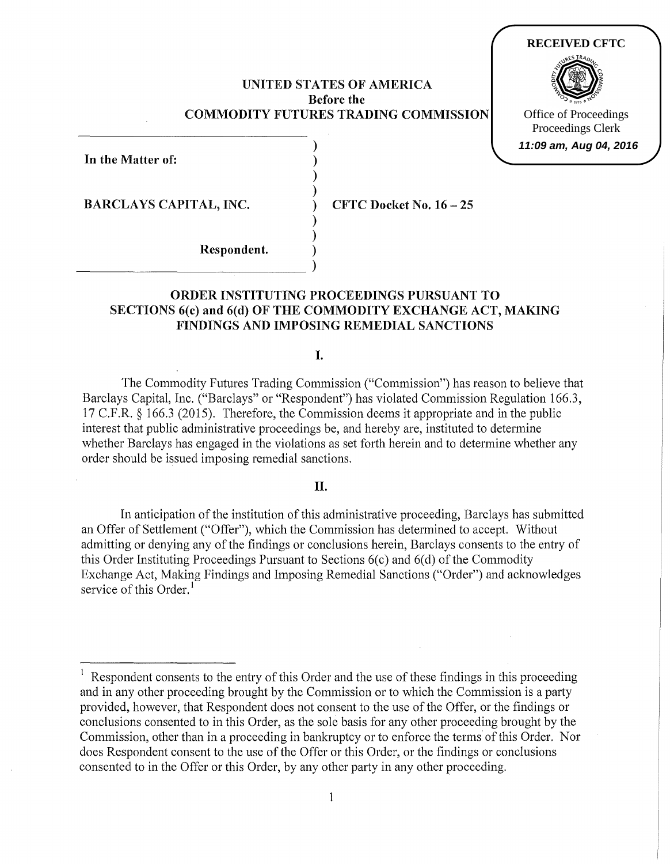### UNITED STATES OF AMERICA Before the COMMODITY FUTURES TRADING COMMISSION

) ) ) ) ) ) ) )  $\big)$ 

In the Matter of:

BARCLAYS CAPITAL, INC.

~~~~~~~~~~~~~~-

CFTC Docket No. 16- 25

Respondent.

# ORDER INSTITUTING PROCEEDINGS PURSUANT TO SECTIONS 6(c) and 6(d) OF THE COMMODITY EXCHANGE ACT, MAKING FINDINGS AND IMPOSING REMEDIAL SANCTIONS

I.

The Commodity Futures Trading Commission ("Commission") has reason to believe that Barclays Capital, Inc. ("Barclays" or "Respondent") has violated Commission Regulation 166.3, 17 C.F .R. § 166.3 (2015). Therefore, the Commission deems it appropriate and in the public interest that public administrative proceedings be, and hereby are, instituted to determine whether Barclays has engaged in the violations as set forth herein and to determine whether any order should be issued imposing remedial sanctions.

### II.

In anticipation of the institution of this administrative proceeding, Barclays has submitted an Offer of Settlement ("Offer"), which the Commission has determined to accept. Without admitting or denying any of the findings or conclusions herein, Barclays consents to the entry of this Order Instituting Proceedings Pursuant to Sections 6(c) and 6(d) of the Commodity Exchange Act, Making Findings and Imposing Remedial Sanctions ("Order") and acknowledges service of this Order.<sup>1</sup>

**RECEIVED CFTC**

Office of Proceedings Proceedings Clerk

**11:09 am, Aug 04, 2016**

<sup>&</sup>lt;sup>1</sup> Respondent consents to the entry of this Order and the use of these findings in this proceeding and in any other proceeding brought by the Commission or to which the Commission is a party provided, however, that Respondent does not consent to the use of the Offer, or the findings or conclusions consented to in this Order, as the sole basis for any other proceeding brought by the Commission, other than in a proceeding in bankruptcy or to enforce the terms of this Order. Nor does Respondent consent to the use of the Offer or this Order, or the findings or conclusions consented to in the Offer or this Order, by any other party in any other proceeding.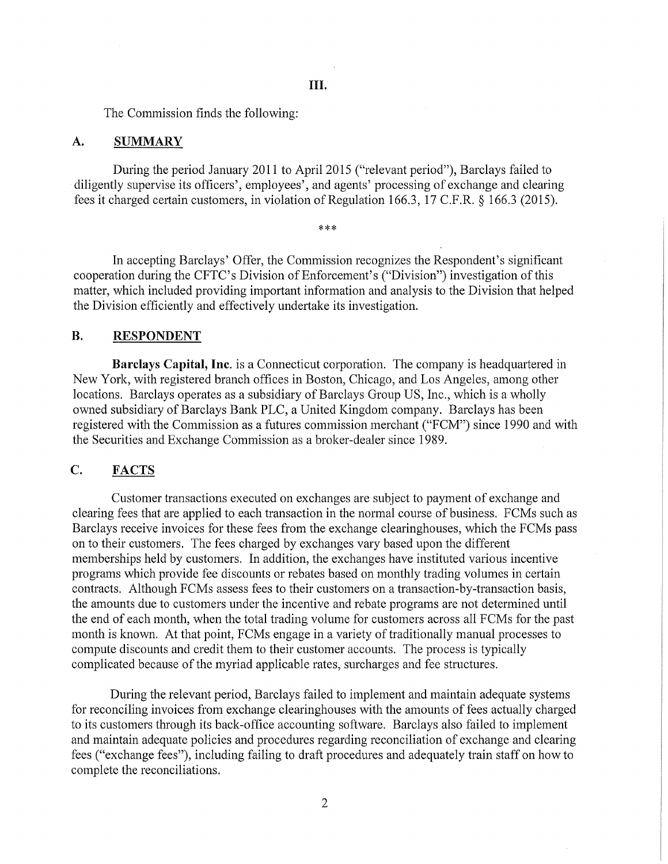The Commission finds the following:

#### A. SUMMARY

During the period January 2011 to April 2015 ("relevant period"), Barclays failed to diligently supervise its officers', employees', and agents' processing of exchange and clearing fees it charged certain customers, in violation of Regulation 166.3, 17 C.F.R. § 166.3 (2015).

\*\*\*

In accepting Barclays' Offer, the Commission recognizes the Respondent's significant cooperation during the CFTC's Division of Enforcement's ("Division") investigation of this matter, which included providing important information and analysis to the Division that helped the Division efficiently and effectively undertake its investigation.

### **B.** RESPONDENT

**Barclays Capital, Inc.** is a Connecticut corporation. The company is headquartered in New York, with registered branch offices in Boston, Chicago, and Los Angeles, among other locations. Barclays operates as a subsidiary of Barclays Group US, Inc., which is a wholly owned subsidiary of Barclays Bank PLC, a United Kingdom company. Barclays has been registered with the Commission as a futures commission merchant ("FCM") since 1990 and with the Securities and Exchange Commission as a broker-dealer since 1989.

# C. FACTS

Customer transactions executed on exchanges are subject to payment of exchange and clearing fees that are applied to each transaction in the normal course of business. FCMs such as Barclays receive invoices for these fees from the exchange clearinghouses, which the FCMs pass on to their customers. The fees charged by exchanges vary based upon the different memberships held by customers. In addition, the exchanges have instituted various incentive programs which provide fee discounts or rebates based on monthly trading volumes in certain contracts. Although FCMs assess fees to their customers on a transaction-by-transaction basis, the amounts due to customers under the incentive and rebate programs are not determined until the end of each month, when the total trading volume for customers across all FCMs for the past month is known. At that point, FCMs engage in a variety of traditionally manual processes to compute discounts and credit them to their customer accounts. The process is typically complicated because of the myriad applicable rates, surcharges and fee structures.

During the relevant period, Barclays failed to implement and maintain adequate systems for reconciling invoices from exchange clearinghouses with the amounts of fees actually charged to its customers through its back-office accounting software. Barclays also failed to implement and maintain adequate policies and procedures regarding reconciliation of exchange and clearing fees ("exchange fees"), including failing to draft procedures and adequately train staff on how to complete the reconciliations.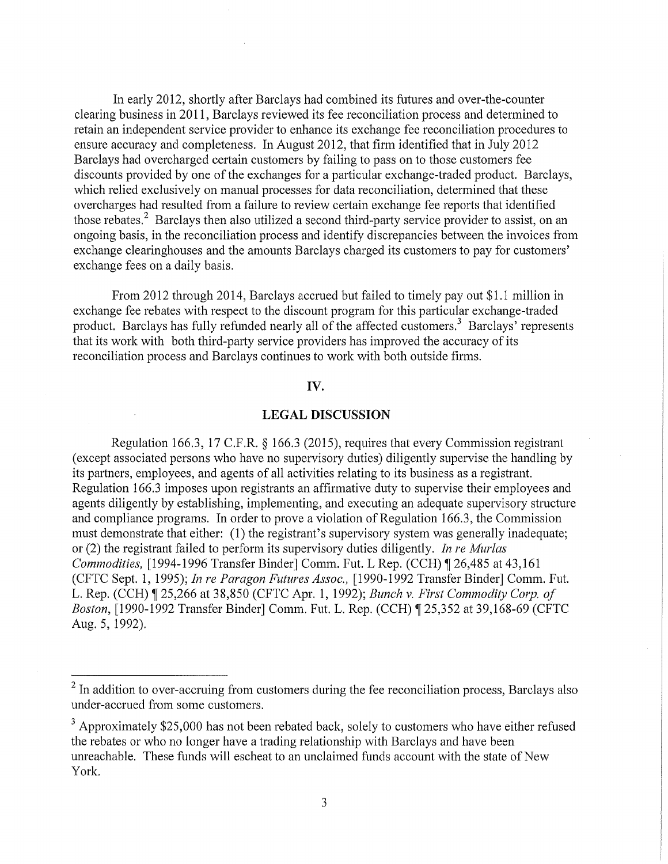In early 2012, shortly after Barclays had combined its futures and over-the-counter clearing business in 2011, Barclays reviewed its fee reconciliation process and determined to retain an independent service provider to enhance its exchange fee reconciliation procedures to ensure accuracy and completeness. In August 2012, that firm identified that in July 2012 Barclays had overcharged certain customers by failing to pass on to those customers fee discounts provided by one of the exchanges for a particular exchange-traded product. Barclays, which relied exclusively on manual processes for data reconciliation, determined that these overcharges had resulted from a failure to review certain exchange fee reports that identified those rebates.<sup>2</sup> Barclays then also utilized a second third-party service provider to assist, on an ongoing basis, in the reconciliation process and identify discrepancies between the invoices from exchange clearinghouses and the amounts Barclays charged its customers to pay for customers' exchange fees on a daily basis.

From 2012 through 2014, Barclays accrued but failed to timely pay out \$1.1 million in exchange fee rebates with respect to the discount program for this particular exchange-traded product. Barclays has fully refunded nearly all of the affected customers.<sup>3</sup> Barclays' represents that its work with both third-party service providers has improved the accuracy of its reconciliation process and Barclays continues to work with both outside firms.

## **IV.**

### **LEGAL DISCUSSION**

Regulation 166.3, 17 C.F.R. § 166.3 (2015), requires that every Commission registrant (except associated persons who have no supervisory duties) diligently supervise the handling by its partners, employees, and agents of all activities relating to its business as a registrant. Regulation 166.3 imposes upon registrants an affirmative duty to supervise their employees and agents diligently by establishing, implementing, and executing an adequate supervisory structure and compliance programs. In order to prove a violation of Regulation 166.3, the Commission must demonstrate that either: (1) the registrant's supervisory system was generally inadequate; or (2) the registrant failed to perform its supervisory duties diligently. *In re Murlas Commodities,* [1994-1996 Transfer Binder] Comm. Fut. L Rep. (CCH) [26,485 at 43,161 (CFTC Sept. 1, 1995); *In re Paragon Futures Assoc.,* [1990-1992 Transfer Binder] Comm. Fut. L. Rep. (CCH) ~ 25,266 at 38,850 (CFTC Apr. **1,** 1992); *Bunch* v. *First Commodity Corp. of Boston,* [1990-1992 Transfer Binder] Comm. Fut. L. Rep. (CCH) ¶ 25,352 at 39,168-69 (CFTC Aug. 5, 1992).

<sup>3</sup> Approximately \$25,000 has not been rebated back, solely to customers who have either refused the rebates or who no longer have a trading relationship with Barclays and have been unreachable. These funds will escheat to an unclaimed funds account with the state of New York.

 $2$  In addition to over-accruing from customers during the fee reconciliation process, Barclays also under-accrued from some customers.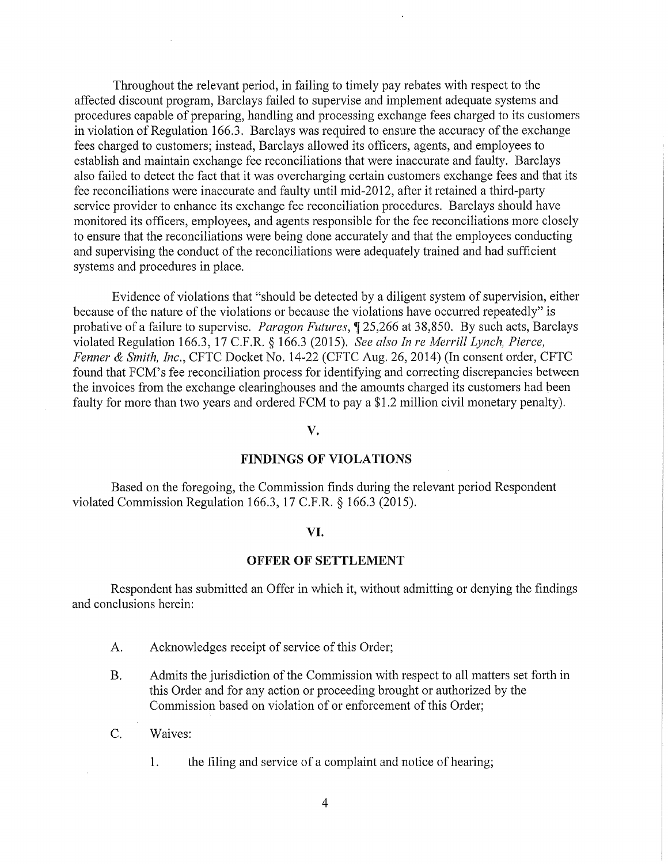Throughout the relevant period, in failing to timely pay rebates with respect to the affected discount program, Barclays failed to supervise and implement adequate systems and procedures capable of preparing, handling and processing exchange fees charged to its customers in violation of Regulation 166.3. Barclays was required to ensure the accuracy of the exchange fees charged to customers; instead, Barclays allowed its officers, agents, and employees to establish and maintain exchange fee reconciliations that were inaccurate and faulty. Barclays also failed to detect the fact that it was overcharging certain customers exchange fees and that its fee reconciliations were inaccurate and faulty until mid-2012, after it retained a third-party service provider to enhance its exchange fee reconciliation procedures. Barclays should have monitored its officers, employees, and agents responsible for the fee reconciliations more closely to ensure that the reconciliations were being done accurately and that the employees conducting and supervising the conduct of the reconciliations were adequately trained and had sufficient systems and procedures in place.

Evidence of violations that "should be detected by a diligent system of supervision, either because of the nature of the violations or because the violations have occurred repeatedly" is probative of a failure to supervise. *Paragon Futures*,  $\S$  25,266 at 38,850. By such acts, Barclays violated Regulation 166.3, 17 C.F.R. § 166.3 (2015). *See also In re Merrill Lynch, Pierce, Fenner* & *Smith, Inc.,* CFTC Docket No. 14-22 (CFTC Aug. 26, 2014) (In consent order, CFTC found that FCM's fee reconciliation process for identifying and correcting discrepancies between the invoices from the exchange clearinghouses and the amounts charged its customers had been faulty for more than two years and ordered FCM to pay a \$1.2 million civil monetary penalty).

#### **v.**

## **FINDINGS OF VIOLATIONS**

Based on the foregoing, the Commission finds during the relevant period Respondent violated Commission Regulation 166.3, 17 C.F.R. § 166.3 (2015).

#### **VI.**

### **OFFER OF SETTLEMENT**

Respondent has submitted an Offer in which it, without admitting or denying the findings and conclusions herein:

- A. Acknowledges receipt of service of this Order;
- B. Admits the jurisdiction of the Commission with respect to all matters set forth in this Order and for any action or proceeding brought or authorized by the Commission based on violation of or enforcement of this Order;
- C. Waives:
	- **1.** the filing and service of a complaint and notice of hearing;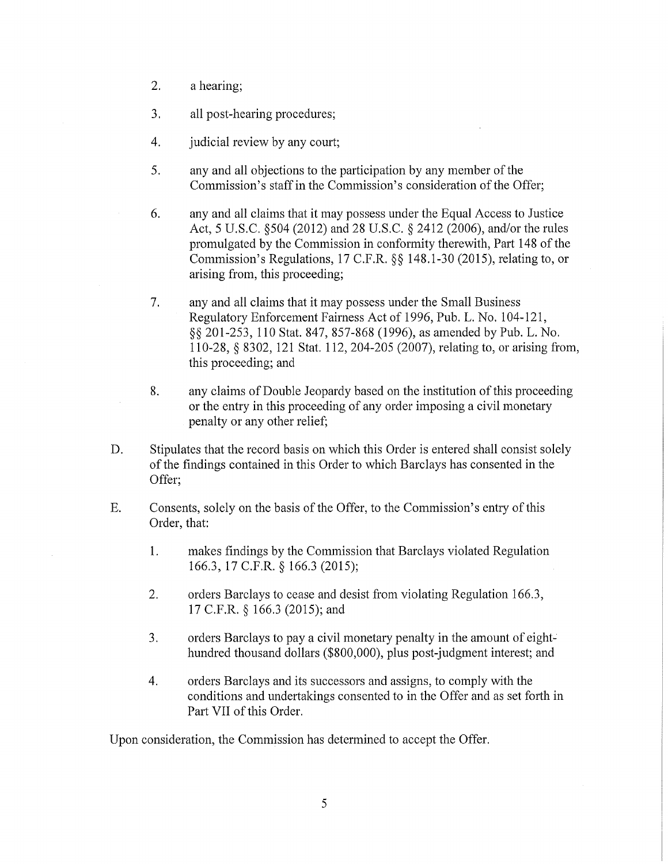- 2. a hearing;
- 3. all post-hearing procedures;
- 4. *i* judicial review by any court;
- 5. any and all objections to the participation by any member of the Commission's staff in the Commission's consideration of the Offer;
- 6. any and all claims that it may possess under the Equal Access to Justice Act, 5 U.S.C. §504 (2012) and 28 U.S.C. § 2412 (2006), and/or the rules promulgated by the Commission in conformity therewith, Part 148 of the Commission's Regulations, 17 C.F.R. §§ 148.1-30 (2015), relating to, or arising from, this proceeding;
- 7. any and all claims that it may possess under the Small Business Regulatory Enforcement Fairness Act of 1996, Pub. L. No. 104-121, §§ 201-253, 110 Stat. 847, 857-868 (1996), as amended by Pub. L. No. 110-28, *§* 8302, 121 Stat. 112, 204-205 (2007), relating to, or arising from, this proceeding; and
- 8. any claims of Double Jeopardy based on the institution of this proceeding or the entry in this proceeding of any order imposing a civil monetary penalty or any other relief;
- D. Stipulates that the record basis on which this Order is entered shall consist solely of the findings contained in this Order to which Barclays has consented in the Offer;
- E. Consents, solely on the basis of the Offer, to the Commission's entry of this Order, that:
	- 1. makes findings by the Commission that Barclays violated Regulation 166.3, 17 C.F.R. § 166.3 (2015);
	- 2. orders Barclays to cease and desist from violating Regulation 166.3, 17 C.F.R. § 166.3 (2015); and
	- 3. orders Barclays to pay a civil monetary penalty in the amount of eighthundred thousand dollars (\$800,000), plus post-judgment interest; and
	- 4. orders Barclays and its successors and assigns, to comply with the conditions and undertakings consented to in the Offer and as set forth in Part VII of this Order.

Upon consideration, the Commission has determined to accept the Offer.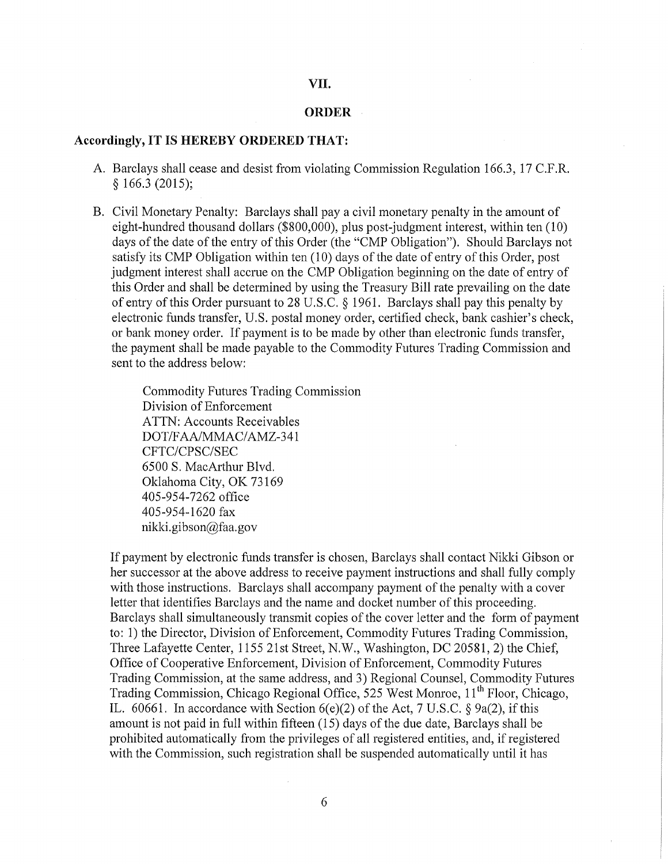#### VII.

#### **ORDER**

## **Accordingly,** IT IS **HEREBY ORDERED** THAT:

- A. Barclays shall cease and desist from violating Commission Regulation 166.3, 17 C.F.R. § 166.3 (2015);
- B. Civil Monetary Penalty: Barclays shall pay a civil monetary penalty in the amount of eight-hundred thousand dollars (\$800,000), plus post-judgment interest, within ten (10) days of the date of the entry of this Order (the "CMP Obligation"). Should Barclays not satisfy its CMP Obligation within ten (10) days of the date of entry of this Order, post judgment interest shall accrue on the CMP Obligation beginning on the date of entry of this Order and shall be determined by using the Treasury Bill rate prevailing on the date of entry of this Order pursuant to 28 U.S.C. § 1961. Barclays shall pay this penalty by electronic funds transfer, U.S. postal money order, certified check, bank cashier's check, or bank money order. If payment is to be made by other than electronic funds transfer, the payment shall be made payable to the Commodity Futures Trading Commission and sent to the address below:

Commodity Futures Trading Commission Division of Enforcement ATTN: Accounts Receivables DOT/FAA/MMAC/AMZ-341 CFTC/CPSC/SEC 6500 S. MacArthur Blvd. Oklahoma City, OK 73169 405-954-7262 office 405-954-1620 fax nikki. gibson@faa.gov

If payment by electronic funds transfer is chosen, Barclays shall contact Nikki Gibson or her successor at the above address to receive payment instructions and shall fully comply with those instructions. Barclays shall accompany payment of the penalty with a cover letter that identifies Barclays and the name and docket number of this proceeding. Barclays shall simultaneously transmit copies of the cover letter and the form of payment to: 1) the Director, Division of Enforcement, Commodity Futures Trading Commission, Three Lafayette Center, 1155 21st Street, N.W., Washington, DC 20581, 2) the Chief, Office of Cooperative Enforcement, Division of Enforcement, Commodity Futures Trading Commission, at the same address, and 3) Regional Counsel, Commodity Futures Trading Commission, Chicago Regional Office, 525 West Monroe, 11<sup>th</sup> Floor, Chicago, IL.  $60661$ . In accordance with Section  $6(e)(2)$  of the Act, 7 U.S.C. § 9a(2), if this amount is not paid in full within fifteen (15) days of the due date, Barclays shall be prohibited automatically from the privileges of all registered entities, and, if registered with the Commission, such registration shall be suspended automatically until it has